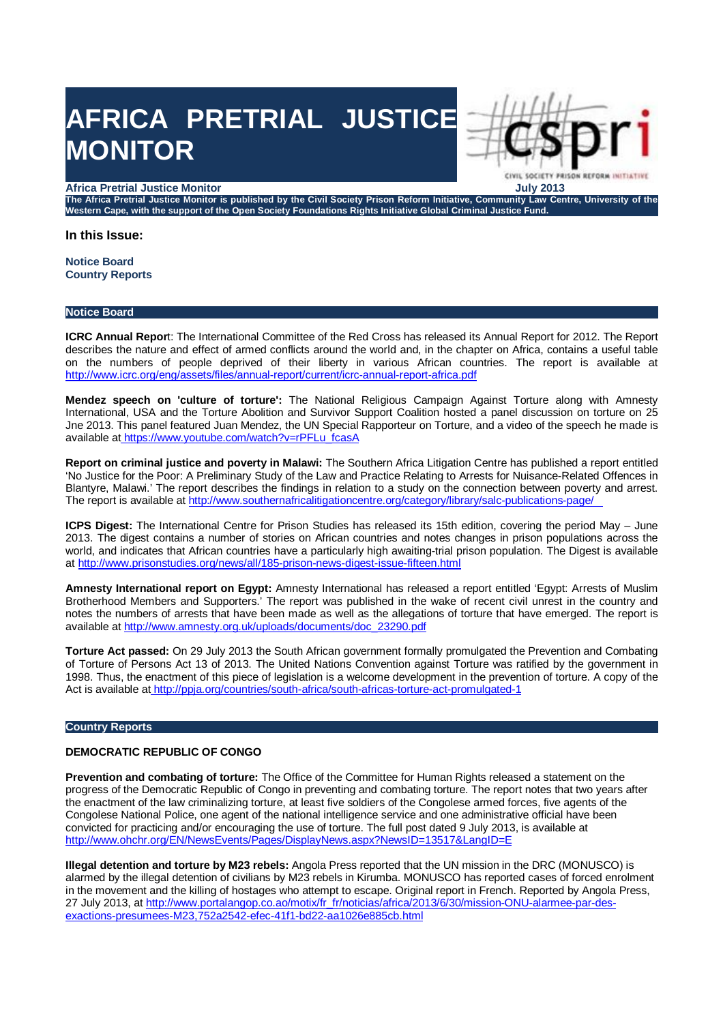# **AFRICA PRETRIAL JUSTICE MONITOR**

#### **Africa Pretrial Justice Monitor July 2013**

**The Africa Pretrial Justice Monitor is published by the Civil Society Prison Reform Initiative, Community Law Centre, University of the Western Cape, with the support of the Open Society Foundations Rights Initiative Global Criminal Justice Fund.**

CIVIL SOCIETY FRISO

#### **In this Issue:**

**Notice Board Country Reports**

#### **Notice Board**

**ICRC Annual Repor**t: The International Committee of the Red Cross has released its Annual Report for 2012. The Report describes the nature and effect of armed conflicts around the world and, in the chapter on Africa, contains a useful table on the numbers of people deprived of their liberty in various African countries. The report is available at http://www.icrc.org/eng/assets/files/annual-report/current/icrc-annual-report-africa.pdf

**Mendez speech on 'culture of torture':** The National Religious Campaign Against Torture along with Amnesty International, USA and the Torture Abolition and Survivor Support Coalition hosted a panel discussion on torture on 25 Jne 2013. This panel featured Juan Mendez, the UN Special Rapporteur on Torture, and a video of the speech he made is available at https://www.youtube.com/watch?v=rPFLu\_fcasA

**Report on criminal justice and poverty in Malawi:** The Southern Africa Litigation Centre has published a report entitled 'No Justice for the Poor: A Preliminary Study of the Law and Practice Relating to Arrests for Nuisance-Related Offences in Blantyre, Malawi.' The report describes the findings in relation to a study on the connection between poverty and arrest. The report is available at http://www.southernafricalitigationcentre.org/category/library/salc-publications-page/

**ICPS Digest:** The International Centre for Prison Studies has released its 15th edition, covering the period May – June 2013. The digest contains a number of stories on African countries and notes changes in prison populations across the world, and indicates that African countries have a particularly high awaiting-trial prison population. The Digest is available at http://www.prisonstudies.org/news/all/185-prison-news-digest-issue-fifteen.html

**Amnesty International report on Egypt:** Amnesty International has released a report entitled 'Egypt: Arrests of Muslim Brotherhood Members and Supporters.' The report was published in the wake of recent civil unrest in the country and notes the numbers of arrests that have been made as well as the allegations of torture that have emerged. The report is available at http://www.amnesty.org.uk/uploads/documents/doc\_23290.pdf

**Torture Act passed:** On 29 July 2013 the South African government formally promulgated the Prevention and Combating of Torture of Persons Act 13 of 2013. The United Nations Convention against Torture was ratified by the government in 1998. Thus, the enactment of this piece of legislation is a welcome development in the prevention of torture. A copy of the Act is available at http://ppja.org/countries/south-africa/south-africas-torture-act-promulgated-1

#### **Country Reports**

## **DEMOCRATIC REPUBLIC OF CONGO**

**Prevention and combating of torture:** The Office of the Committee for Human Rights released a statement on the progress of the Democratic Republic of Congo in preventing and combating torture. The report notes that two years after the enactment of the law criminalizing torture, at least five soldiers of the Congolese armed forces, five agents of the Congolese National Police, one agent of the national intelligence service and one administrative official have been convicted for practicing and/or encouraging the use of torture. The full post dated 9 July 2013, is available at http://www.ohchr.org/EN/NewsEvents/Pages/DisplayNews.aspx?NewsID=13517&LangID=E

**Illegal detention and torture by M23 rebels:** Angola Press reported that the UN mission in the DRC (MONUSCO) is alarmed by the illegal detention of civilians by M23 rebels in Kirumba. MONUSCO has reported cases of forced enrolment in the movement and the killing of hostages who attempt to escape. Original report in French. Reported by Angola Press, 27 July 2013, at http://www.portalangop.co.ao/motix/fr\_fr/noticias/africa/2013/6/30/mission-ONU-alarmee-par-desexactions-presumees-M23,752a2542-efec-41f1-bd22-aa1026e885cb.html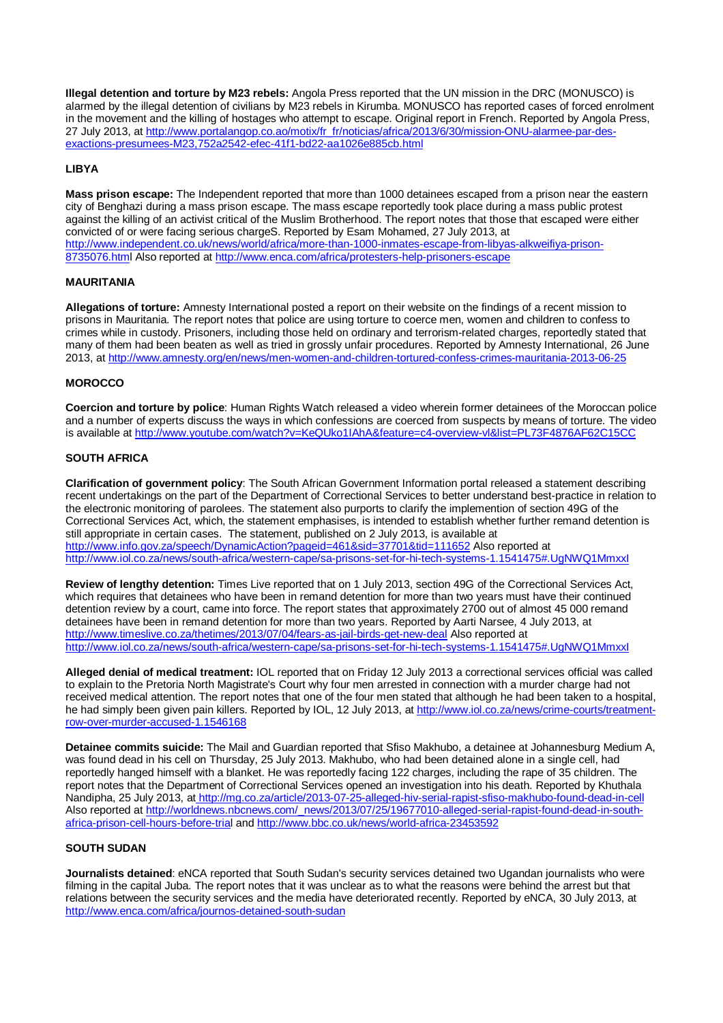**Illegal detention and torture by M23 rebels:** Angola Press reported that the UN mission in the DRC (MONUSCO) is alarmed by the illegal detention of civilians by M23 rebels in Kirumba. MONUSCO has reported cases of forced enrolment in the movement and the killing of hostages who attempt to escape. Original report in French. Reported by Angola Press, 27 July 2013, at http://www.portalangop.co.ao/motix/fr\_fr/noticias/africa/2013/6/30/mission-ONU-alarmee-par-desexactions-presumees-M23,752a2542-efec-41f1-bd22-aa1026e885cb.html

## **LIBYA**

**Mass prison escape:** The Independent reported that more than 1000 detainees escaped from a prison near the eastern city of Benghazi during a mass prison escape. The mass escape reportedly took place during a mass public protest against the killing of an activist critical of the Muslim Brotherhood. The report notes that those that escaped were either convicted of or were facing serious chargeS. Reported by Esam Mohamed, 27 July 2013, at http://www.independent.co.uk/news/world/africa/more-than-1000-inmates-escape-from-libyas-alkweifiya-prison-8735076.html Also reported at http://www.enca.com/africa/protesters-help-prisoners-escape

### **MAURITANIA**

**Allegations of torture:** Amnesty International posted a report on their website on the findings of a recent mission to prisons in Mauritania. The report notes that police are using torture to coerce men, women and children to confess to crimes while in custody. Prisoners, including those held on ordinary and terrorism-related charges, reportedly stated that many of them had been beaten as well as tried in grossly unfair procedures. Reported by Amnesty International, 26 June 2013, at http://www.amnesty.org/en/news/men-women-and-children-tortured-confess-crimes-mauritania-2013-06-25

## **MOROCCO**

**Coercion and torture by police**: Human Rights Watch released a video wherein former detainees of the Moroccan police and a number of experts discuss the ways in which confessions are coerced from suspects by means of torture. The video is available at http://www.youtube.com/watch?v=KeQUko1IAhA&feature=c4-overview-vl&list=PL73F4876AF62C15CC

## **SOUTH AFRICA**

**Clarification of government policy**: The South African Government Information portal released a statement describing recent undertakings on the part of the Department of Correctional Services to better understand best-practice in relation to the electronic monitoring of parolees. The statement also purports to clarify the implemention of section 49G of the Correctional Services Act, which, the statement emphasises, is intended to establish whether further remand detention is still appropriate in certain cases. The statement, published on 2 July 2013, is available at http://www.info.gov.za/speech/DynamicAction?pageid=461&sid=37701&tid=111652 Also reported at http://www.iol.co.za/news/south-africa/western-cape/sa-prisons-set-for-hi-tech-systems-1.1541475#.UgNWQ1MmxxI

**Review of lengthy detention:** Times Live reported that on 1 July 2013, section 49G of the Correctional Services Act, which requires that detainees who have been in remand detention for more than two years must have their continued detention review by a court, came into force. The report states that approximately 2700 out of almost 45 000 remand detainees have been in remand detention for more than two years. Reported by Aarti Narsee, 4 July 2013, at http://www.timeslive.co.za/thetimes/2013/07/04/fears-as-jail-birds-get-new-deal Also reported at http://www.iol.co.za/news/south-africa/western-cape/sa-prisons-set-for-hi-tech-systems-1.1541475#.UgNWQ1MmxxI

**Alleged denial of medical treatment:** IOL reported that on Friday 12 July 2013 a correctional services official was called to explain to the Pretoria North Magistrate's Court why four men arrested in connection with a murder charge had not received medical attention. The report notes that one of the four men stated that although he had been taken to a hospital, he had simply been given pain killers. Reported by IOL, 12 July 2013, at http://www.iol.co.za/news/crime-courts/treatmentrow-over-murder-accused-1.1546168

**Detainee commits suicide:** The Mail and Guardian reported that Sfiso Makhubo, a detainee at Johannesburg Medium A, was found dead in his cell on Thursday, 25 July 2013. Makhubo, who had been detained alone in a single cell, had reportedly hanged himself with a blanket. He was reportedly facing 122 charges, including the rape of 35 children. The report notes that the Department of Correctional Services opened an investigation into his death. Reported by Khuthala Nandipha, 25 July 2013, at http://mg.co.za/article/2013-07-25-alleged-hiv-serial-rapist-sfiso-makhubo-found-dead-in-cell Also reported at http://worldnews.nbcnews.com/\_news/2013/07/25/19677010-alleged-serial-rapist-found-dead-in-southafrica-prison-cell-hours-before-trial and http://www.bbc.co.uk/news/world-africa-23453592

## **SOUTH SUDAN**

**Journalists detained**: eNCA reported that South Sudan's security services detained two Ugandan journalists who were filming in the capital Juba. The report notes that it was unclear as to what the reasons were behind the arrest but that relations between the security services and the media have deteriorated recently. Reported by eNCA, 30 July 2013, at http://www.enca.com/africa/journos-detained-south-sudan